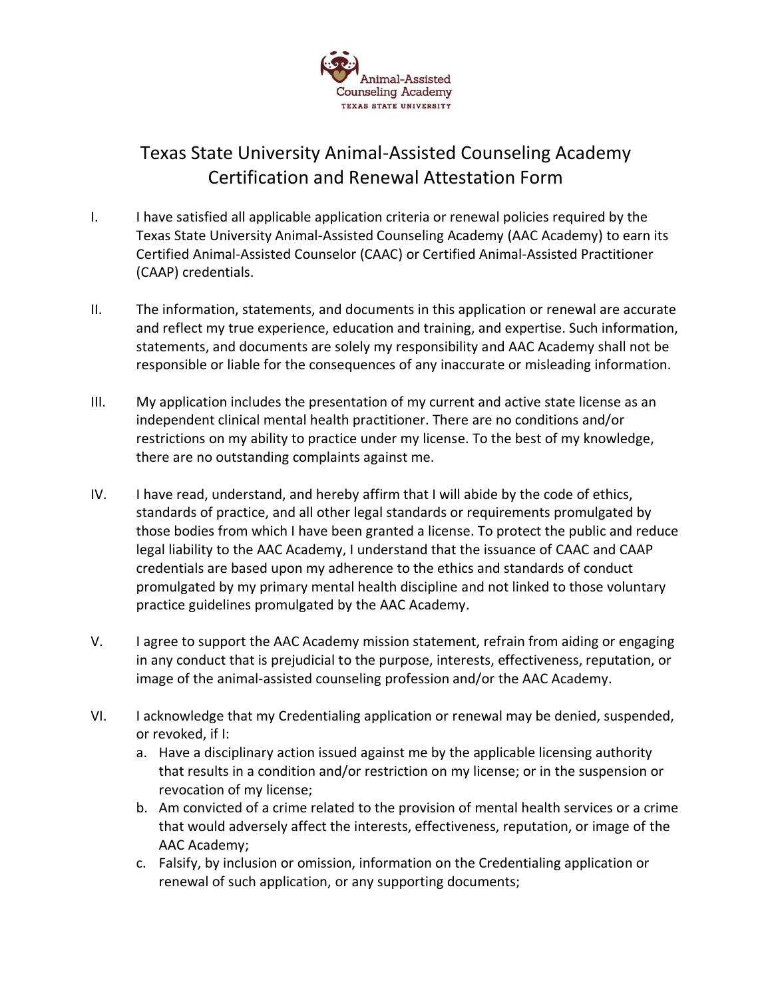

## Texas State University Animal-Assisted Counseling Academy Certification and Renewal Attestation Form

- I. I have satisfied all applicable application criteria or renewal policies required by the Texas State University Animal-Assisted Counseling Academy (AAC Academy) to earn its Certified Animal-Assisted Counselor (CAAC) or Certified Animal-Assisted Practitioner (CAAP) credentials.
- II. The information, statements, and documents in this application or renewal are accurate and reflect my true experience, education and training, and expertise. Such information, statements, and documents are solely my responsibility and AAC Academy shall not be responsible or liable for the consequences of any inaccurate or misleading information.
- III. My application includes the presentation of my current and active state license as an independent clinical mental health practitioner. There are no conditions and/or restrictions on my ability to practice under my license. To the best of my knowledge, there are no outstanding complaints against me.
- IV. I have read, understand, and hereby affirm that I will abide by the code of ethics, standards of practice, and all other legal standards or requirements promulgated by those bodies from which I have been granted a license. To protect the public and reduce legal liability to the AAC Academy, I understand that the issuance of CAAC and CAAP credentials are based upon my adherence to the ethics and standards of conduct promulgated by my primary mental health discipline and not linked to those voluntary practice guidelines promulgated by the AAC Academy.
- V. I agree to support the AAC Academy mission statement, refrain from aiding or engaging in any conduct that is prejudicial to the purpose, interests, effectiveness, reputation, or image of the animal-assisted counseling profession and/or the AAC Academy.
- VI. I acknowledge that my Credentialing application or renewal may be denied, suspended, or revoked, if I:
	- a. Have a disciplinary action issued against me by the applicable licensing authority that results in a condition and/or restriction on my license; or in the suspension or revocation of my license;
	- b. Am convicted of a crime related to the provision of mental health services or a crime that would adversely affect the interests, effectiveness, reputation, or image of the AAC Academy;
	- c. Falsify, by inclusion or omission, information on the Credentialing application or renewal of such application, or any supporting documents;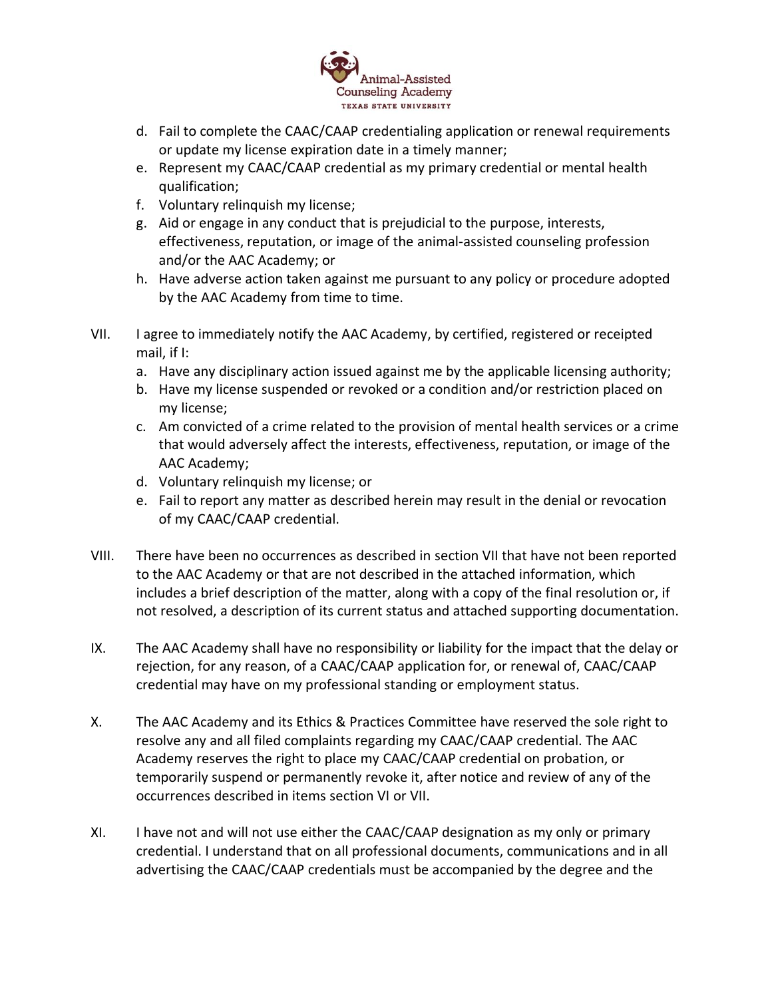

- d. Fail to complete the CAAC/CAAP credentialing application or renewal requirements or update my license expiration date in a timely manner;
- e. Represent my CAAC/CAAP credential as my primary credential or mental health qualification;
- f. Voluntary relinquish my license;
- g. Aid or engage in any conduct that is prejudicial to the purpose, interests, effectiveness, reputation, or image of the animal-assisted counseling profession and/or the AAC Academy; or
- h. Have adverse action taken against me pursuant to any policy or procedure adopted by the AAC Academy from time to time.
- VII. I agree to immediately notify the AAC Academy, by certified, registered or receipted mail, if I:
	- a. Have any disciplinary action issued against me by the applicable licensing authority;
	- b. Have my license suspended or revoked or a condition and/or restriction placed on my license;
	- c. Am convicted of a crime related to the provision of mental health services or a crime that would adversely affect the interests, effectiveness, reputation, or image of the AAC Academy;
	- d. Voluntary relinquish my license; or
	- e. Fail to report any matter as described herein may result in the denial or revocation of my CAAC/CAAP credential.
- VIII. There have been no occurrences as described in section VII that have not been reported to the AAC Academy or that are not described in the attached information, which includes a brief description of the matter, along with a copy of the final resolution or, if not resolved, a description of its current status and attached supporting documentation.
- IX. The AAC Academy shall have no responsibility or liability for the impact that the delay or rejection, for any reason, of a CAAC/CAAP application for, or renewal of, CAAC/CAAP credential may have on my professional standing or employment status.
- X. The AAC Academy and its Ethics & Practices Committee have reserved the sole right to resolve any and all filed complaints regarding my CAAC/CAAP credential. The AAC Academy reserves the right to place my CAAC/CAAP credential on probation, or temporarily suspend or permanently revoke it, after notice and review of any of the occurrences described in items section VI or VII.
- XI. I have not and will not use either the CAAC/CAAP designation as my only or primary credential. I understand that on all professional documents, communications and in all advertising the CAAC/CAAP credentials must be accompanied by the degree and the